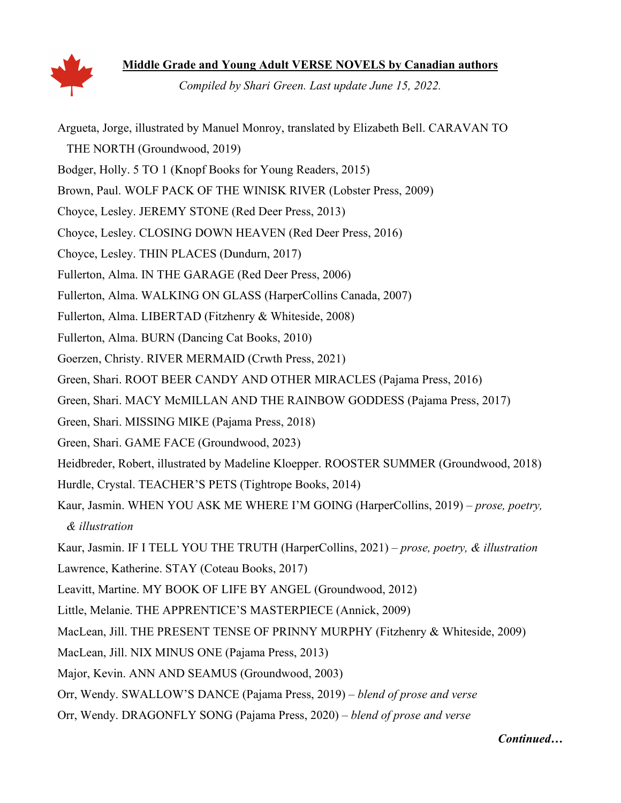

**Middle Grade and Young Adult VERSE NOVELS by Canadian authors** 

*Compiled by Shari Green. Last update June 15, 2022.*

Argueta, Jorge, illustrated by Manuel Monroy, translated by Elizabeth Bell. CARAVAN TO THE NORTH (Groundwood, 2019) Bodger, Holly. 5 TO 1 (Knopf Books for Young Readers, 2015) Brown, Paul. WOLF PACK OF THE WINISK RIVER (Lobster Press, 2009) Choyce, Lesley. JEREMY STONE (Red Deer Press, 2013) Choyce, Lesley. CLOSING DOWN HEAVEN (Red Deer Press, 2016) Choyce, Lesley. THIN PLACES (Dundurn, 2017) Fullerton, Alma. IN THE GARAGE (Red Deer Press, 2006) Fullerton, Alma. WALKING ON GLASS (HarperCollins Canada, 2007) Fullerton, Alma. LIBERTAD (Fitzhenry & Whiteside, 2008) Fullerton, Alma. BURN (Dancing Cat Books, 2010) Goerzen, Christy. RIVER MERMAID (Crwth Press, 2021) Green, Shari. ROOT BEER CANDY AND OTHER MIRACLES (Pajama Press, 2016) Green, Shari. MACY McMILLAN AND THE RAINBOW GODDESS (Pajama Press, 2017) Green, Shari. MISSING MIKE (Pajama Press, 2018) Green, Shari. GAME FACE (Groundwood, 2023) Heidbreder, Robert, illustrated by Madeline Kloepper. ROOSTER SUMMER (Groundwood, 2018) Hurdle, Crystal. TEACHER'S PETS (Tightrope Books, 2014) Kaur, Jasmin. WHEN YOU ASK ME WHERE I'M GOING (HarperCollins, 2019) – *prose, poetry, & illustration*  Kaur, Jasmin. IF I TELL YOU THE TRUTH (HarperCollins, 2021) – *prose, poetry, & illustration*  Lawrence, Katherine. STAY (Coteau Books, 2017) Leavitt, Martine. MY BOOK OF LIFE BY ANGEL (Groundwood, 2012) Little, Melanie. THE APPRENTICE'S MASTERPIECE (Annick, 2009) MacLean, Jill. THE PRESENT TENSE OF PRINNY MURPHY (Fitzhenry & Whiteside, 2009) MacLean, Jill. NIX MINUS ONE (Pajama Press, 2013) Major, Kevin. ANN AND SEAMUS (Groundwood, 2003) Orr, Wendy. SWALLOW'S DANCE (Pajama Press, 2019) – *blend of prose and verse*  Orr, Wendy. DRAGONFLY SONG (Pajama Press, 2020) – *blend of prose and verse* 

*Continued…*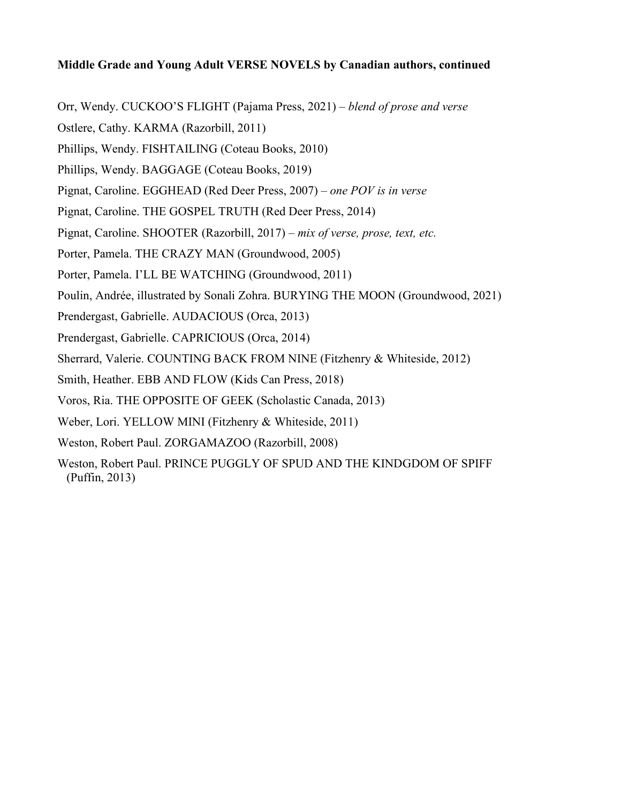## **Middle Grade and Young Adult VERSE NOVELS by Canadian authors, continued**

- Orr, Wendy. CUCKOO'S FLIGHT (Pajama Press, 2021) *blend of prose and verse*
- Ostlere, Cathy. KARMA (Razorbill, 2011)
- Phillips, Wendy. FISHTAILING (Coteau Books, 2010)
- Phillips, Wendy. BAGGAGE (Coteau Books, 2019)
- Pignat, Caroline. EGGHEAD (Red Deer Press, 2007)  *one POV is in verse*
- Pignat, Caroline. THE GOSPEL TRUTH (Red Deer Press, 2014)
- Pignat, Caroline. SHOOTER (Razorbill, 2017)  *mix of verse, prose, text, etc.*
- Porter, Pamela. THE CRAZY MAN (Groundwood, 2005)
- Porter, Pamela. I'LL BE WATCHING (Groundwood, 2011)
- Poulin, Andrée, illustrated by Sonali Zohra. BURYING THE MOON (Groundwood, 2021)
- Prendergast, Gabrielle. AUDACIOUS (Orca, 2013)
- Prendergast, Gabrielle. CAPRICIOUS (Orca, 2014)
- Sherrard, Valerie. COUNTING BACK FROM NINE (Fitzhenry & Whiteside, 2012)
- Smith, Heather. EBB AND FLOW (Kids Can Press, 2018)
- Voros, Ria. THE OPPOSITE OF GEEK (Scholastic Canada, 2013)
- Weber, Lori. YELLOW MINI (Fitzhenry & Whiteside, 2011)
- Weston, Robert Paul. ZORGAMAZOO (Razorbill, 2008)
- Weston, Robert Paul. PRINCE PUGGLY OF SPUD AND THE KINDGDOM OF SPIFF (Puffin, 2013)